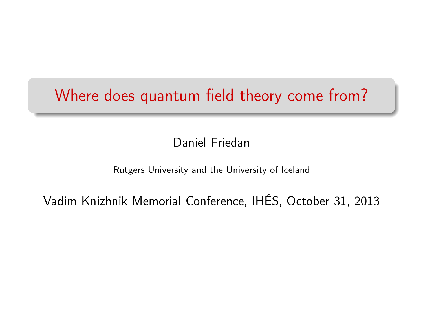## Where does quantum field theory come from?

Daniel Friedan

#### Rutgers University and the University of Iceland

Vadim Knizhnik Memorial Conference, IHÉS, October 31, 2013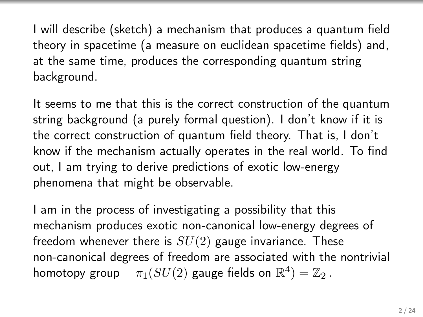I will describe (sketch) a mechanism that produces a quantum field theory in spacetime (a measure on euclidean spacetime fields) and, at the same time, produces the corresponding quantum string background.

It seems to me that this is the correct construction of the quantum string background (a purely formal question). I don't know if it is the correct construction of quantum field theory. That is, I don't know if the mechanism actually operates in the real world. To find out, I am trying to derive predictions of exotic low-energy phenomena that might be observable.

I am in the process of investigating a possibility that this mechanism produces exotic non-canonical low-energy degrees of freedom whenever there is  $SU(2)$  gauge invariance. These non-canonical degrees of freedom are associated with the nontrivial homotopy group  $\quad \pi_1(SU(2)$  gauge fields on  $\mathbb{R}^4) = \mathbb{Z}_2$  .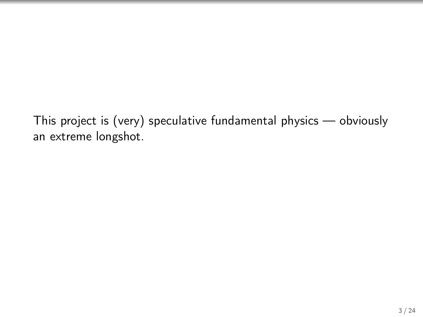This project is (very) speculative fundamental physics — obviously an extreme longshot.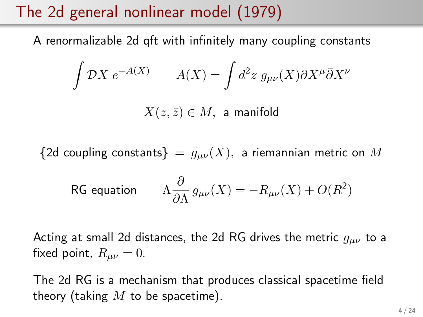# The 2d general nonlinear model (1979)

A renormalizable 2d qft with infinitely many coupling constants

$$
\int \mathcal{D}X \ e^{-A(X)} \qquad A(X) = \int d^2 z \ g_{\mu\nu}(X) \partial X^{\mu} \bar{\partial}X^{\nu}
$$

 $X(z,\bar{z}) \in M$ , a manifold

{2d coupling constants} =  $g_{\mu\nu}(X)$ , a riemannian metric on M

$$
\text{RG equation}\qquad \Lambda\frac{\partial}{\partial\Lambda}\,g_{\mu\nu}(X)=-R_{\mu\nu}(X)+O(R^2)
$$

Acting at small 2d distances, the 2d RG drives the metric  $g_{\mu\nu}$  to a fixed point,  $R_{\mu\nu} = 0$ .

The 2d RG is a mechanism that produces classical spacetime field theory (taking  $M$  to be spacetime).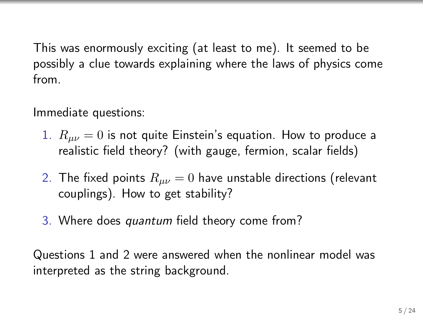This was enormously exciting (at least to me). It seemed to be possibly a clue towards explaining where the laws of physics come from.

Immediate questions:

- 1.  $R_{\mu\nu} = 0$  is not quite Einstein's equation. How to produce a realistic field theory? (with gauge, fermion, scalar fields)
- 2. The fixed points  $R_{\mu\nu} = 0$  have unstable directions (relevant couplings). How to get stability?
- 3. Where does quantum field theory come from?

Questions 1 and 2 were answered when the nonlinear model was interpreted as the string background.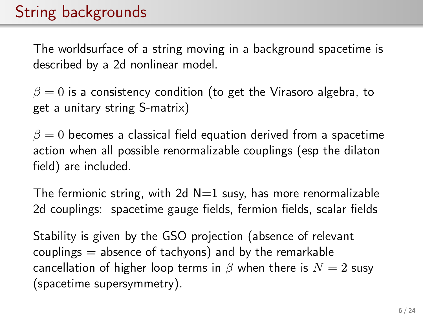# String backgrounds

The worldsurface of a string moving in a background spacetime is described by a 2d nonlinear model.

 $\beta = 0$  is a consistency condition (to get the Virasoro algebra, to get a unitary string S-matrix)

 $\beta = 0$  becomes a classical field equation derived from a spacetime action when all possible renormalizable couplings (esp the dilaton field) are included.

The fermionic string, with 2d  $N=1$  susy, has more renormalizable 2d couplings: spacetime gauge fields, fermion fields, scalar fields

Stability is given by the GSO projection (absence of relevant couplings  $=$  absence of tachyons) and by the remarkable cancellation of higher loop terms in  $\beta$  when there is  $N = 2$  susy (spacetime supersymmetry).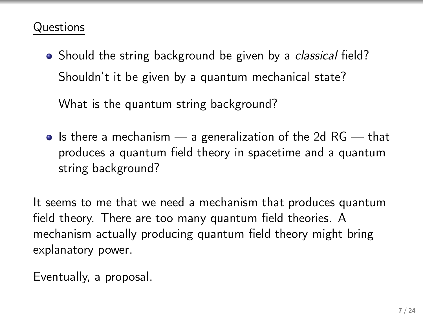#### Questions

• Should the string background be given by a *classical* field? Shouldn't it be given by a quantum mechanical state?

What is the quantum string background?

 $\bullet$  Is there a mechanism  $\sim$  a generalization of the 2d RG  $\sim$  that produces a quantum field theory in spacetime and a quantum string background?

It seems to me that we need a mechanism that produces quantum field theory. There are too many quantum field theories. A mechanism actually producing quantum field theory might bring explanatory power.

Eventually, a proposal.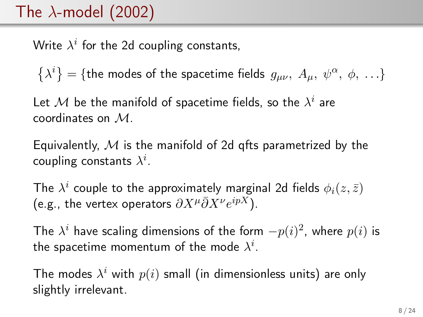## The  $\lambda$ -model (2002)

Write  $\lambda^i$  for the 2d coupling constants,

 $\left\{\lambda^{i}\right\}=$  {the modes of the spacetime fields  $g_{\mu\nu},\;A_{\mu},\;\psi^{\alpha},\;\phi,\;\ldots\}$ 

Let  ${\mathcal M}$  be the manifold of spacetime fields, so the  $\lambda^i$  are coordinates on M.

Equivalently, M is the manifold of 2d gfts parametrized by the coupling constants  $\lambda^i.$ 

The  $\lambda^i$  couple to the approximately marginal 2d fields  $\phi_i(z,\bar{z})$ (e.g., the vertex operators  $\partial X^{\mu}\bar{\partial}X^{\nu}e^{ipX}$ ).

The  $\lambda^i$  have scaling dimensions of the form  $-p(i)^2$ , where  $p(i)$  is the spacetime momentum of the mode  $\lambda^i.$ 

The modes  $\lambda^i$  with  $p(i)$  small (in dimensionless units) are only slightly irrelevant.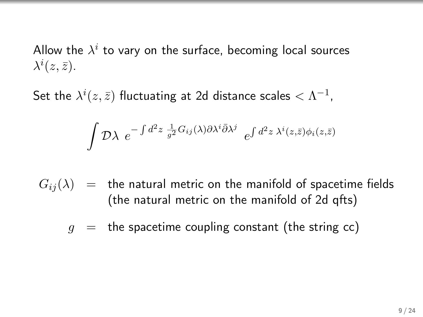Allow the  $\lambda^i$  to vary on the surface, becoming local sources  $\lambda^i(z,\bar{z}).$ 

Set the  $\lambda^i(z,\bar{z})$  fluctuating at 2d distance scales  $<\Lambda^{-1}$ ,

$$
\int \mathcal{D}\lambda \ e^{-\int d^2z \frac{1}{g^2}G_{ij}(\lambda)\partial \lambda^i \bar{\partial} \lambda^j} \ e^{\int d^2z \ \lambda^i(z,\bar{z})\phi_i(z,\bar{z})}
$$

 $G_{ii}(\lambda)$  = the natural metric on the manifold of spacetime fields (the natural metric on the manifold of 2d qfts)

 $g =$  the spacetime coupling constant (the string cc)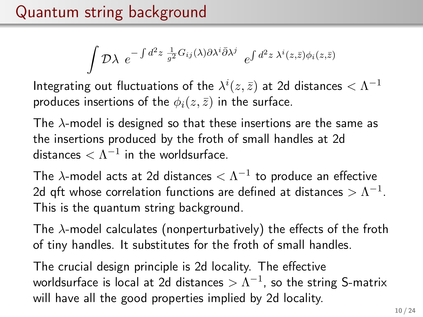.)

$$
\int \mathcal{D}\lambda \, e^{-\int d^2z \, \frac{1}{g^2} G_{ij}(\lambda) \partial \lambda^i \bar{\partial} \lambda^j} \, e^{\int d^2z \, \lambda^i(z,\bar{z}) \phi_i(z,\bar{z})}
$$

Integrating out fluctuations of the  $\lambda^i(z,\bar{z})$  at 2d distances  $<\Lambda^{-1}$ produces insertions of the  $\phi_i(z, \bar{z})$  in the surface.

The  $\lambda$ -model is designed so that these insertions are the same as the insertions produced by the froth of small handles at 2d distances  $<\Lambda^{-1}$  in the worldsurface.

The  $\lambda$ -model acts at 2d distances  $<\Lambda^{-1}$  to produce an effective 2d qft whose correlation functions are defined at distances  $>\Lambda^{-1}.$ This is the quantum string background.

The  $\lambda$ -model calculates (nonperturbatively) the effects of the froth of tiny handles. It substitutes for the froth of small handles.

The crucial design principle is 2d locality. The effective worldsurface is local at 2d distances  $>\Lambda^{-1}$ , so the string S-matrix will have all the good properties implied by 2d locality.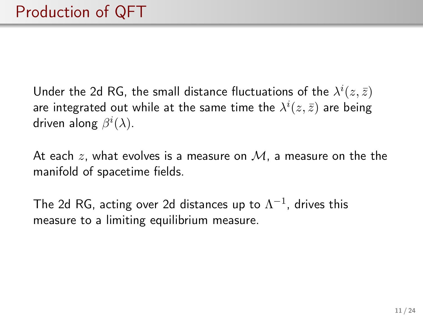Under the 2d RG, the small distance fluctuations of the  $\lambda^i(z,\bar{z})$ are integrated out while at the same time the  $\lambda^i(z,\bar{z})$  are being driven along  $\beta^i(\lambda).$ 

At each z, what evolves is a measure on  $M$ , a measure on the the manifold of spacetime fields.

The 2d RG, acting over 2d distances up to  $\Lambda^{-1}$ , drives this measure to a limiting equilibrium measure.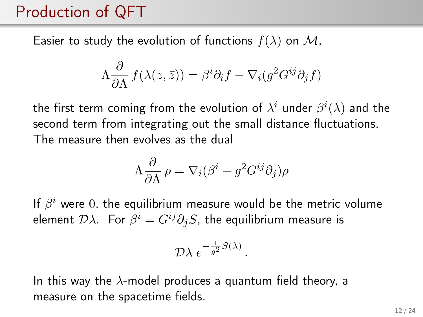## Production of QFT

Easier to study the evolution of functions  $f(\lambda)$  on M,

$$
\Lambda \frac{\partial}{\partial \Lambda} f(\lambda(z,\bar{z})) = \beta^{i} \partial_{i} f - \nabla_{i} (g^{2} G^{ij} \partial_{j} f)
$$

the first term coming from the evolution of  $\lambda^i$  under  $\beta^i(\lambda)$  and the second term from integrating out the small distance fluctuations. The measure then evolves as the dual

$$
\Lambda \frac{\partial}{\partial \Lambda} \rho = \nabla_i (\beta^i + g^2 G^{ij} \partial_j) \rho
$$

If  $\beta^i$  were 0, the equilibrium measure would be the metric volume element  $\mathcal{D}\lambda$ . For  $\beta^i=G^{ij}\partial_jS$ , the equilibrium measure is

$$
\mathcal{D}\lambda \ e^{-\frac{1}{g^2}S(\lambda)}
$$

.

In this way the  $\lambda$ -model produces a quantum field theory, a measure on the spacetime fields.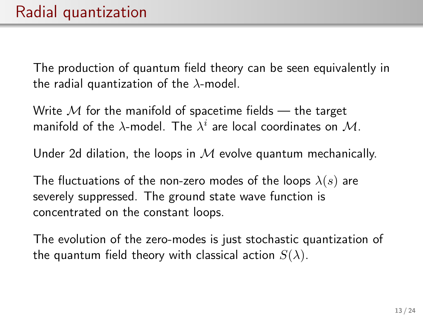The production of quantum field theory can be seen equivalently in the radial quantization of the  $\lambda$ -model.

Write  $M$  for the manifold of spacetime fields — the target manifold of the  $\lambda$ -model. The  $\lambda^i$  are local coordinates on  $\mathcal{M}.$ 

Under 2d dilation, the loops in  $M$  evolve quantum mechanically.

The fluctuations of the non-zero modes of the loops  $\lambda(s)$  are severely suppressed. The ground state wave function is concentrated on the constant loops.

The evolution of the zero-modes is just stochastic quantization of the quantum field theory with classical action  $S(\lambda)$ .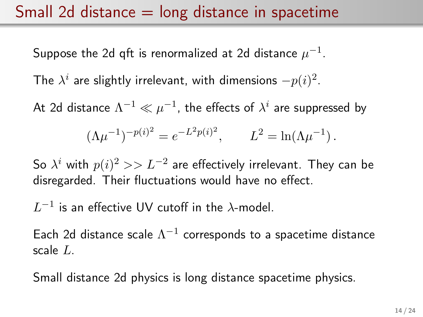#### Small 2d distance  $=$  long distance in spacetime

Suppose the 2d qft is renormalized at 2d distance  $\mu^{-1}.$ 

The  $\lambda^i$  are slightly irrelevant, with dimensions  $-p(i)^2.$ 

At 2d distance  $\Lambda^{-1} \ll \mu^{-1}$ , the effects of  $\lambda^i$  are suppressed by

$$
(\Lambda \mu^{-1})^{-p(i)^2} = e^{-L^2 p(i)^2}, \qquad L^2 = \ln(\Lambda \mu^{-1}).
$$

So  $\lambda^i$  with  $p(i)^2>>L^{-2}$  are effectively irrelevant. They can be disregarded. Their fluctuations would have no effect.

 $L^{-1}$  is an effective UV cutoff in the  $\lambda$ -model.

Each 2d distance scale  $\Lambda^{-1}$  corresponds to a spacetime distance scale L.

Small distance 2d physics is long distance spacetime physics.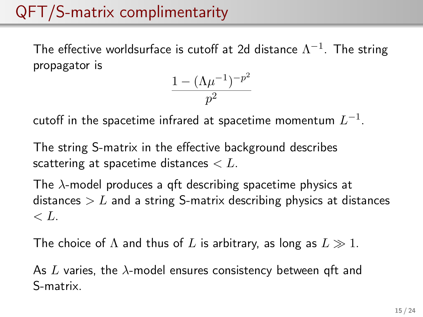# QFT/S-matrix complimentarity

The effective worldsurface is cutoff at 2d distance  $\Lambda^{-1}.$  The string propagator is

$$
\frac{1-(\Lambda\mu^{-1})^{-p^2}}{p^2}
$$

cutoff in the spacetime infrared at spacetime momentum  $L^{-1}.$ 

The string S-matrix in the effective background describes scattering at spacetime distances  $\lt L$ .

The  $\lambda$ -model produces a qft describing spacetime physics at distances  $\geq L$  and a string S-matrix describing physics at distances  $\langle L \rangle$ 

The choice of  $\Lambda$  and thus of L is arbitrary, as long as  $L \gg 1$ .

As L varies, the  $\lambda$ -model ensures consistency between qft and S-matrix.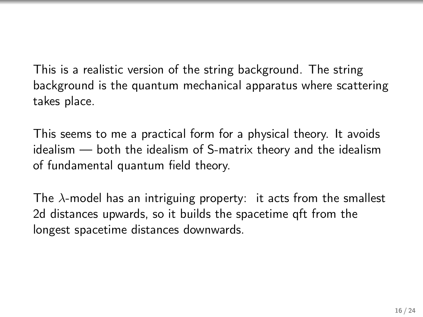This is a realistic version of the string background. The string background is the quantum mechanical apparatus where scattering takes place.

This seems to me a practical form for a physical theory. It avoids idealism — both the idealism of S-matrix theory and the idealism of fundamental quantum field theory.

The  $\lambda$ -model has an intriguing property: it acts from the smallest 2d distances upwards, so it builds the spacetime qft from the longest spacetime distances downwards.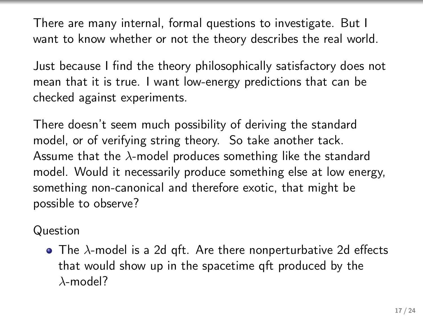There are many internal, formal questions to investigate. But I want to know whether or not the theory describes the real world.

Just because I find the theory philosophically satisfactory does not mean that it is true. I want low-energy predictions that can be checked against experiments.

There doesn't seem much possibility of deriving the standard model, or of verifying string theory. So take another tack. Assume that the  $\lambda$ -model produces something like the standard model. Would it necessarily produce something else at low energy, something non-canonical and therefore exotic, that might be possible to observe?

Question

 $\bullet$  The  $\lambda$ -model is a 2d qft. Are there nonperturbative 2d effects that would show up in the spacetime qft produced by the  $\lambda$ -model?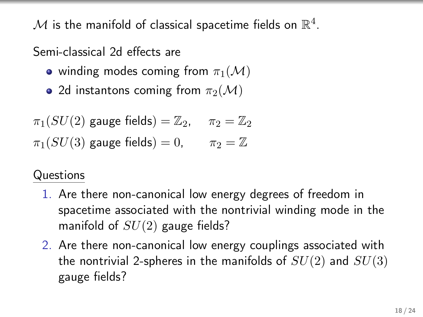${\mathcal M}$  is the manifold of classical spacetime fields on  $\mathbb{R}^4$ .

Semi-classical 2d effects are

- winding modes coming from  $\pi_1(\mathcal{M})$
- 2d instantons coming from  $\pi_2(\mathcal{M})$

 $\pi_1(SU(2)$  gauge fields) =  $\mathbb{Z}_2$ ,  $\pi_2 = \mathbb{Z}_2$  $\pi_1(SU(3)$  gauge fields) = 0,  $\pi_2 = \mathbb{Z}$ 

#### Questions

- 1. Are there non-canonical low energy degrees of freedom in spacetime associated with the nontrivial winding mode in the manifold of  $SU(2)$  gauge fields?
- 2. Are there non-canonical low energy couplings associated with the nontrivial 2-spheres in the manifolds of  $SU(2)$  and  $SU(3)$ gauge fields?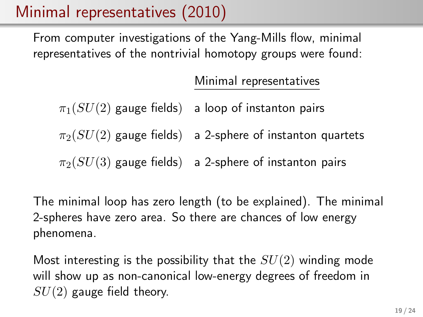## Minimal representatives (2010)

From computer investigations of the Yang-Mills flow, minimal representatives of the nontrivial homotopy groups were found:

Minimal representatives

 $\pi_1(SU(2))$  gauge fields) a loop of instanton pairs

 $\pi_2(SU(2))$  gauge fields) a 2-sphere of instanton quartets

 $\pi_2(SU(3))$  gauge fields) a 2-sphere of instanton pairs

The minimal loop has zero length (to be explained). The minimal 2-spheres have zero area. So there are chances of low energy phenomena.

Most interesting is the possibility that the  $SU(2)$  winding mode will show up as non-canonical low-energy degrees of freedom in  $SU(2)$  gauge field theory.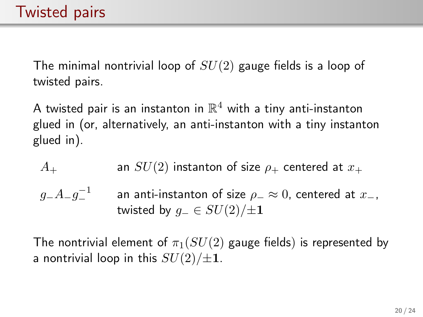The minimal nontrivial loop of  $SU(2)$  gauge fields is a loop of twisted pairs.

A twisted pair is an instanton in  $\mathbb{R}^4$  with a tiny anti-instanton glued in (or, alternatively, an anti-instanton with a tiny instanton glued in).

$$
A_+
$$
 an  $SU(2)$  instanton of size  $\rho_+$  centered at  $x_+$   
\n $g_- A_- g_-^{-1}$  an anti-instanton of size  $\rho_- \approx 0$ , centered at  $x_-$ ,  
\ntwisted by  $g_- \in SU(2)/\pm 1$ 

The nontrivial element of  $\pi_1(SU(2))$  gauge fields) is represented by a nontrivial loop in this  $SU(2)/\pm 1$ .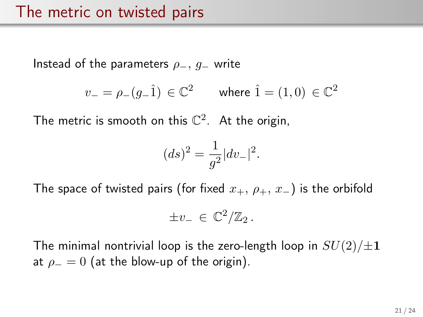Instead of the parameters  $\rho_-, g_-$  write

$$
v_- = \rho_-(g_- \hat{1}) \, \in \mathbb{C}^2 \qquad \text{where } \hat{1} = (1,0) \, \in \mathbb{C}^2
$$

The metric is smooth on this  $\mathbb{C}^2$ . At the origin,

$$
(ds)^2 = \frac{1}{g^2}|dv_-|^2.
$$

The space of twisted pairs (for fixed  $x_+$ ,  $\rho_+$ ,  $x_-$ ) is the orbifold

$$
\pm v_-\in\mathbb{C}^2/\mathbb{Z}_2\,.
$$

The minimal nontrivial loop is the zero-length loop in  $SU(2)/\pm 1$ at  $\rho = 0$  (at the blow-up of the origin).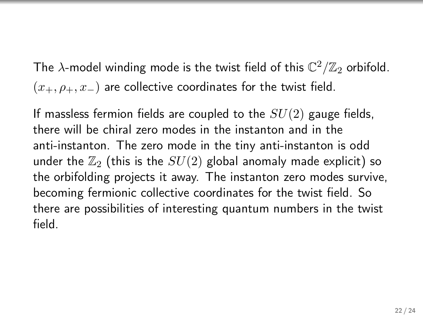The  $\lambda$ -model winding mode is the twist field of this  ${\mathbb C}^2/{\mathbb Z}_2$  orbifold.  $(x_+, \rho_+, x_-)$  are collective coordinates for the twist field.

If massless fermion fields are coupled to the  $SU(2)$  gauge fields, there will be chiral zero modes in the instanton and in the anti-instanton. The zero mode in the tiny anti-instanton is odd under the  $\mathbb{Z}_2$  (this is the  $SU(2)$  global anomaly made explicit) so the orbifolding projects it away. The instanton zero modes survive, becoming fermionic collective coordinates for the twist field. So there are possibilities of interesting quantum numbers in the twist field.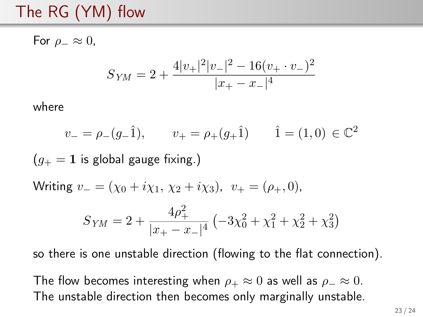# The RG (YM) flow

For  $\rho_-\approx 0$ ,  $S_{YM} = 2 + \frac{4|v_+|^2|v_-|^2 - 16(v_+ \cdot v_-)^2}{|v_+ - v_-|^4}$  $|x_{+} - x_{-}|^{4}$ where  $v_- = \rho_-(g_- \hat{1}), \qquad v_+ = \rho_+(g_+ \hat{1}) \qquad \hat{1} = (1,0) \in \mathbb{C}^2$  $(q_{+} = 1)$  is global gauge fixing.) Writing  $v_-= (\chi_0 + i\chi_1, \chi_2 + i\chi_3), v_+ = (\rho_+, 0),$  $S_{YM} = 2 + \frac{4\rho_+^2}{\ln 2}$  $\frac{4p_+}{|x_+ - x_-|^4} \left( -3\chi_0^2 + \chi_1^2 + \chi_2^2 + \chi_3^2 \right)$ so there is one unstable direction (flowing to the flat connection).

The flow becomes interesting when  $\rho_+ \approx 0$  as well as  $\rho_- \approx 0$ . The unstable direction then becomes only marginally unstable.